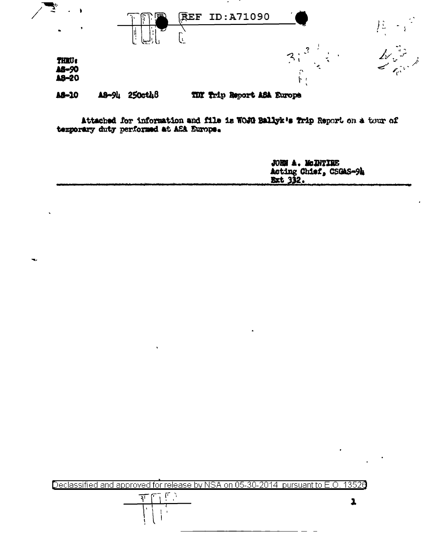

Attached for information and file is WOJG Ballyk's Trip Report on a tour of temporary duty performed at ASA Europe.

> **JOHN A. McDNTIRE** Acting Chief, CSGAS-94  $x$ t  $332.$

> > $\overline{\mathbf{1}}$

Declassified and approved for release by NSA on 05-30-2014 pursuant to E.O. 13520

 $\mathbb{F}$  )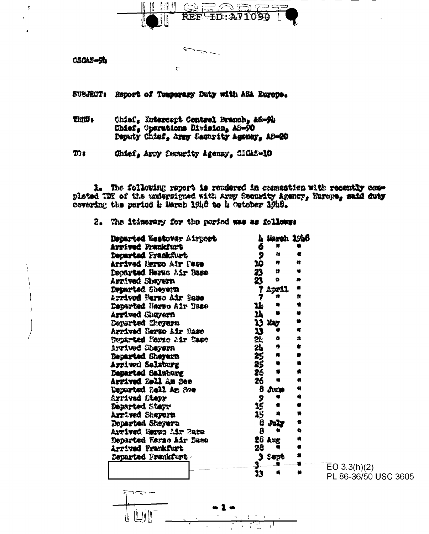

س رتەر

**CSOAS-94** 

ł,

SUBJECT: Report of Temporary Duty with ASA Europe.

 $\overline{C}$ 

 $\blacksquare$ 

THE 4 Chief, Entercept Control Branch, AS-9h Chief, Operations Division, AS-50 Deputy Chief, Army Security Agency, AS-20

 $30<sub>1</sub>$ Chief, Arry Security Agency, CSGAS-10

1. The following report is rendered in commention with recently complated TDY of the undersigned with Army Security Agency, Europe, said duty covering the period h March 19h8 to h October 19h8.

2. The itinerary for the pariod was as follows:

| Departed Westovar Airport      | L,        | March 1946       |   |                      |
|--------------------------------|-----------|------------------|---|----------------------|
| Arrived Frankfurt              | 6         | 糖                |   |                      |
| Departed Frankfurt             | Ş         | $\ddot{\bullet}$ | 特 |                      |
| Arrived Hermo Air Pass         | 10        |                  | n |                      |
| Departed Herno Air Base        | 23        | ₩                | ₩ |                      |
| Arrived Sheyern                | 23        | 魯                | 籍 |                      |
| Departed Sheyern               |           | April            | 儛 |                      |
| Arrived Perso Air Sase         | 7         | 炩                | Ħ |                      |
| Departed Harso Air Taso        | 14        |                  | ₩ |                      |
| Arrived Shoyern                | <b>14</b> |                  |   |                      |
| Departed Cheyern               | 13        | <b>BAT</b>       |   |                      |
| Arrived Herso Air Nase         | 13        |                  | 膏 |                      |
| <b>Departed Narso Air Case</b> | Дķ        | ۰                | n |                      |
| Arrived Sheyern                | 24        | ۰                | 費 |                      |
| Departed Shayern               | 25        | 顺                |   |                      |
| Arrived Salzburg               | 25        | ۰                | 騺 |                      |
| Departed Salaburg              | 26        | $\bullet$        |   |                      |
| Arrived Zell Am See            | 26        | 鰽                | ۰ |                      |
| Departed 2cll Am Sce           | 6         | Jame             | 9 |                      |
| Arrived Steyr                  | 9         | 帚                | a |                      |
| Departed Steyr                 | 35        | 총                | 6 |                      |
| Arrived Shayern                | 15        | 膾                |   |                      |
| Departed Sheyera               | 8         | July             | 0 |                      |
| Arrived Herzo Air Baze         | 8         |                  | ۰ |                      |
| Departed Herso Air Dass        | 26        | Aug              | a |                      |
| Arrived Frankfurt              | 28        |                  |   |                      |
| Departed Frankfurt -           |           | <b>Sopt</b>      |   |                      |
|                                |           |                  |   | EO $3.3(h)(2)$       |
|                                | 13        |                  |   | PL 86-36/50 USC 3605 |

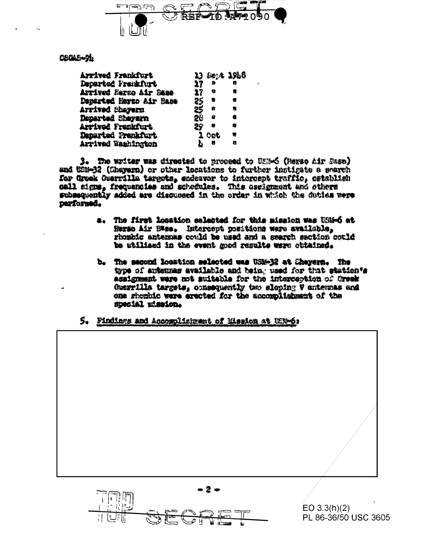

**OBOLD-91** 

| Arrived Frankfurt       |     | 13 Sept 1958    |   |
|-------------------------|-----|-----------------|---|
| Departed Frenkfurt      | 27  | 魯               | n |
| Arrived Nergo Air Base  | 27  | Ħ               | 8 |
| Departud Herto Air Base | 25. | 舂               | U |
| Arrived Sheyern         | 25  | Q               | ₩ |
| Departed Sheyern        | 20  | 肆               | 儋 |
| Arrivod Frenkfurt       | 29  | 栅               | 仿 |
| Departed Premkfurt      |     | $\mathbf 1$ Oct | w |
| Arrived Washington      | Ł   | - 6             | n |

3. The writer was directed to proceed to USH-6 (Nerso Air Base) and US2-32 (Charama) or other locations to further instigate a search for Grock Guerrilla targets, endsavor to intercept traffic, cstablish call signs, frequencies and schedules. This essignment and others subsequently added are discussed in the order in which the duties were parformed.

- a. The first location selected for this mission was USM-6 at Rermo Air Bass. Intercept positions were available, rhombic antennas could be used and a search metion could be utilised in the event mod results were obtained.
- b. The second location selected was USM-32 at Chayers. The type of antennas available and being used for that station's assignment were not suitable for the interception of Oresk Guerrilla targets, consequently two sloping V antenpas and one should over erected for the accomplishment of the special mission.
- 5. Findings and Accomplisionant of Mission at USN-6:



PL 86-36/50 USC 3605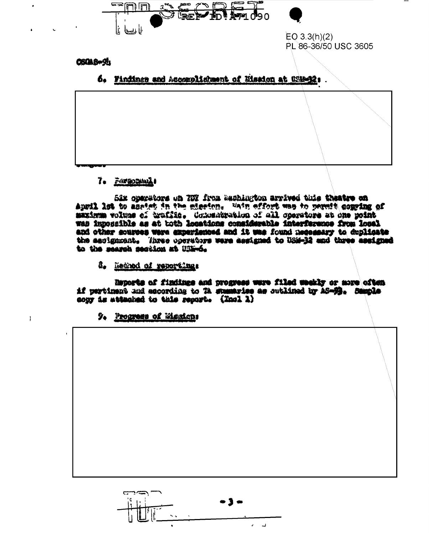



 $EO 3.3(h)(2)$ PL 86-36/50 USC 3605

## **CSOLS-91**

6. Findings and Accomplishment of Eission at USB-32:

## 7. Farmoning!

Six operators on TIX from asshington arrived this theatre on Annil lat to anatet in the stasion. Vain effort was to permit comping of maximum volume of hruffite. Consensation of all coarstors at one moint was iznoszible as at toth lesations considerable interference from losal and other sources were experienced and it was found necessary to duplicate the assignment. Three coerators were essigned to USM-32 and three assigned to the means seation at USE-6.

& Rethod of reportings

Reports of findings and progress were filed weakly or more often if pertinant and escording to TA stamaries as sutlined by AS-92. Sample cour is attacked to this resort. (Incl 1)

9. Progress of Mexical

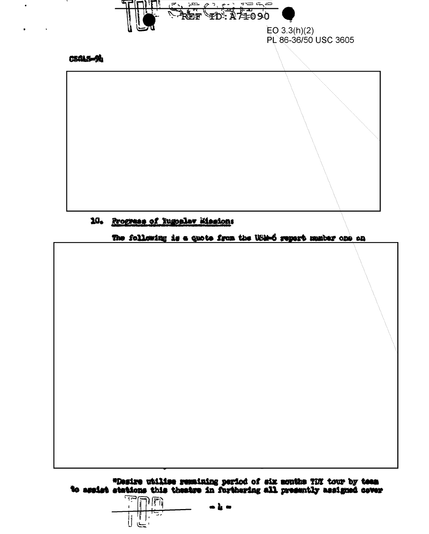

10. Progress of Iugoslav Missions

The following is a quote from the Win-6 report manter one on

\*Desire utilise remaining period of six months TDY tour by teem<br>to assist stations this theatre in furthering all presently assigned cover

اكنف  $\mathbb{P}[\mathbb{F}_\mathbb{R}]$ ij. ىسى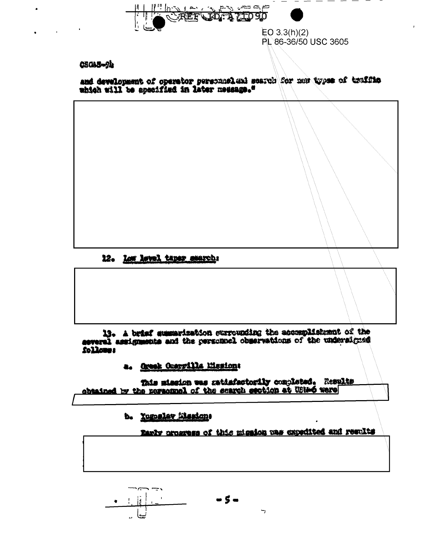

#### **CSGAS-94**

and development of operator personnel and scarch for now types of traffits which will be apscified in later medange."

# 12. Low lovel taper search:

13. A brist summarization surrounding the accomplishment of the several assignments and the personnel observations of the undersigned follower

a. Oresk Onerville Mesion:

This mission was satisfactorily completed. Results obtained by the newsomel of the scarch section at USIA6 were

b. Yugoslav Masiqne

Early progress of this mission was expedited and results

 $\mathbf{r}$ 

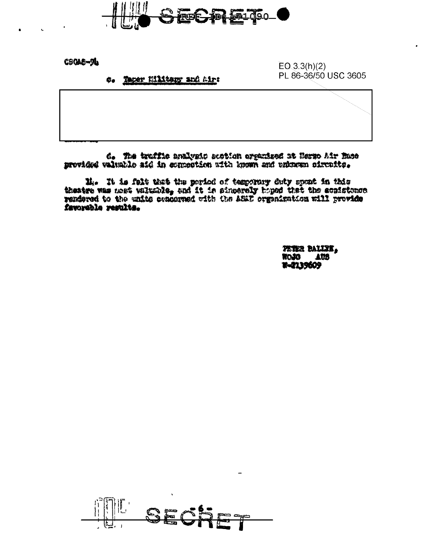

**CSOAE-94** 

c. Taper Military and Airs

 $EO(3.3(h)(2)$ PL 86-36/50 USC 3605

d. The truffic analygic section organized at Bergo Mir Base provided valuable aid in connection with known and putnome oircuits.

 $\mathbf{H}_i$  . It is felt that the period of temperary duty spont in this theatre was nest valuable, and it is sincerely hoped that the conditions rendered to the units occurred with the AS2D organization will provide favorable results.

> PETER BALLIK, **AUS SECRE** W-2139609